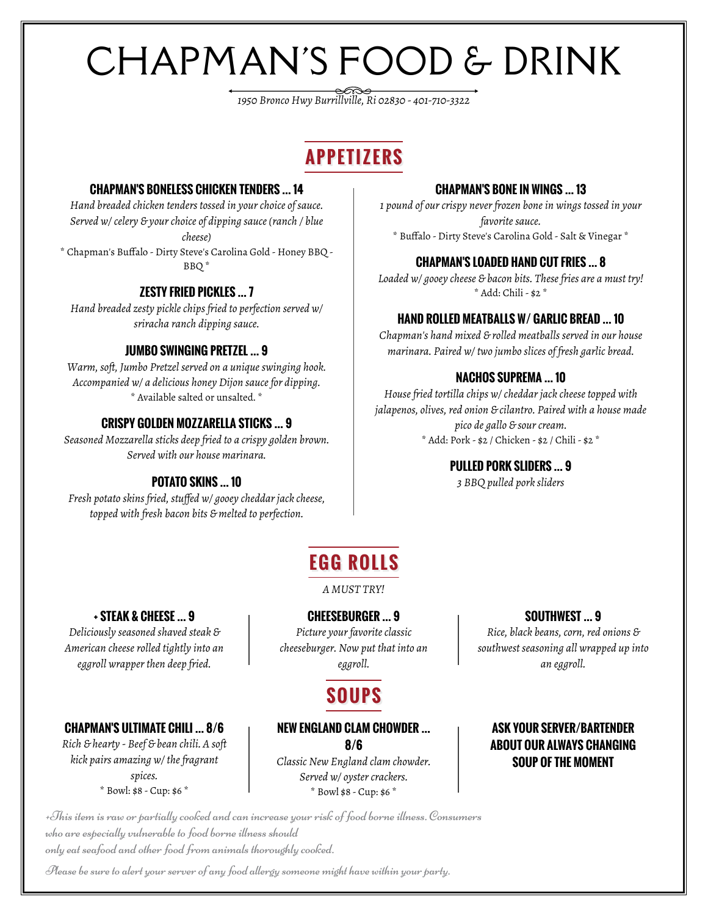# CHAPMAN'S FOOD & DRINK

*1950 Bronco Hwy Burrillville, Ri 02830 - 401-710-3322*

## **APPETIZERS**

#### **CHAPMAN'S BONELESS CHICKEN TENDERS … 14**

*Hand breaded chicken tenders tossed in your choice of sauce. Served w/ celery & your choice of dipping sauce (ranch / blue cheese)* \* Chapman's Buffalo - Dirty Steve's Carolina Gold - Honey BBQ -

BBQ \*

#### **ZESTY FRIED PICKLES … 7**

*Hand breaded zesty pickle chips fried to perfection served w/ sriracha ranch dipping sauce.*

#### **JUMBO SWINGING PRETZEL … 9**

*Warm, soft, Jumbo Pretzel served on a unique swinging hook. Accompanied w/ a delicious honey Dijon sauce for dipping.* \* Available salted or unsalted. \*

#### **CRISPY GOLDEN MOZZARELLA STICKS … 9**

*Seasoned Mozzarella sticks deep fried to a crispy golden brown. Served with our house marinara.*

#### **POTATO SKINS … 10**

*Fresh potato skins fried, stuffed w/ gooey cheddar jack cheese, topped with fresh bacon bits & melted to perfection.*

#### **CHAPMAN'S BONE IN WINGS … 13**

*1 pound of our crispy never frozen bone in wings tossed in your favorite sauce.* \* Buffalo - Dirty Steve's Carolina Gold - Salt & Vinegar \*

#### **CHAPMAN'S LOADED HAND CUT FRIES … 8**

*Loaded w/ gooey cheese & bacon bits. These fries are a must try!* \* Add: Chili - \$2 \*

#### **HAND ROLLED MEATBALLS W/ GARLIC BREAD … 10**

*Chapman's hand mixed & rolled meatballs served in our house marinara. Paired w/ two jumbo slices of fresh garlic bread.*

#### **NACHOS SUPREMA … 10**

*House fried tortilla chips w/ cheddar jack cheese topped with jalapenos, olives, red onion & cilantro. Paired with a house made pico de gallo & sour cream.* \* Add: Pork - \$2 / Chicken - \$2 / Chili - \$2 \*

#### **PULLED PORK SLIDERS … 9**

*3 BBQ pulled pork sliders*

## **EGG ROLLS**

*A MUST TRY!*

#### **CHEESEBURGER … 9**

*Picture your favorite classic cheeseburger. Now put that into an eggroll.*

## **SOUPS**

#### **NEW ENGLAND CLAM CHOWDER … 8/6**

*Classic New England clam chowder. Served w/ oyster crackers.* \* Bowl \$8 - Cup: \$6 \*

#### **ASK YOUR SERVER/BARTENDER ABOUT OUR ALWAYS CHANGING SOUP OF THE MOMENT**

+This item is raw or partially cooked and can increase your risk of food borne illness. Consumers who are especially vulnerable to food borne illness should only eat seafood and other food from animals thoroughly cooked.

Please be sure to alert your server of any food allergy someone might have within your party.

**SOUTHWEST … 9**

*Rice, black beans, corn, red onions & southwest seasoning all wrapped up into an eggroll.*

#### **CHAPMAN'S ULTIMATE CHILI … 8/6**

**+ STEAK & CHEESE … 9** *Deliciously seasoned shaved steak & American cheese rolled tightly into an eggroll wrapper then deep fried.*

*Rich & hearty - Beef & bean chili. A soft kick pairs amazing w/ the fragrant spices.* \* Bowl: \$8 - Cup: \$6 \*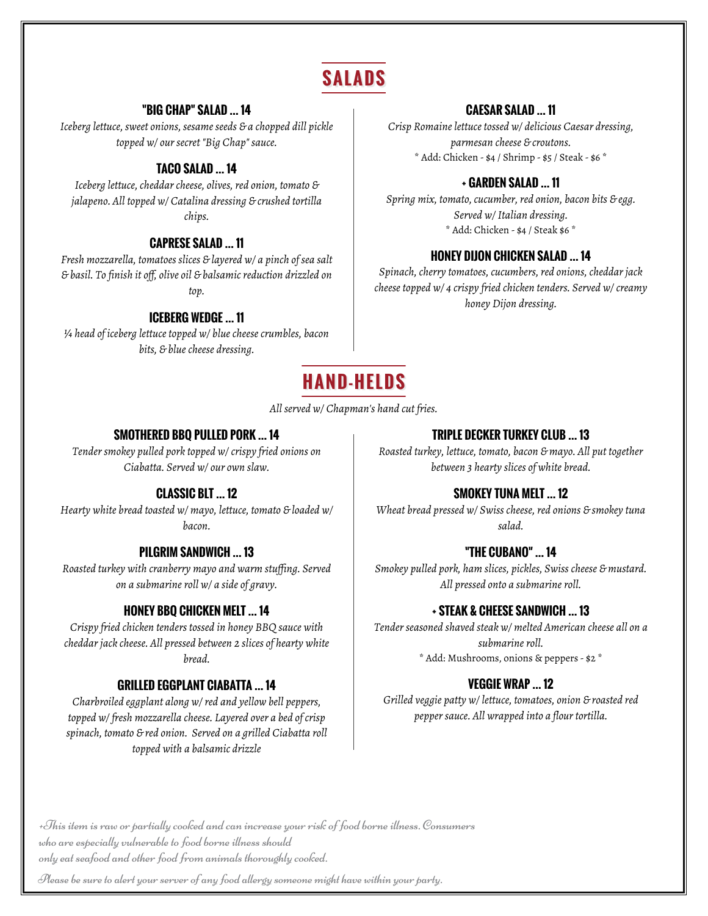## **SALADS**

#### **"BIG CHAP" SALAD … 14**

*Iceberg lettuce, sweet onions, sesame seeds & a chopped dill pickle topped w/ our secret "Big Chap" sauce.*

#### **TACO SALAD … 14**

*Iceberg lettuce, cheddar cheese, olives, red onion, tomato & jalapeno. All topped w/ Catalina dressing & crushed tortilla chips.*

#### **CAPRESE SALAD … 11**

*Fresh mozzarella, tomatoes slices & layered w/ a pinch of sea salt & basil. To finish it off, olive oil & balsamic reduction drizzled on top.*

#### **ICEBERG WEDGE … 11**

*¼ head of iceberg lettuce topped w/ blue cheese crumbles, bacon bits, & blue cheese dressing.*

#### **CAESAR SALAD … 11**

*Crisp Romaine lettuce tossed w/ delicious Caesar dressing, parmesan cheese & croutons.* \* Add: Chicken - \$4 / Shrimp - \$5 / Steak - \$6 \*

#### **+ GARDEN SALAD … 11**

*Spring mix, tomato, cucumber, red onion, bacon bits & egg. Served w/ Italian dressing.* \* Add: Chicken - \$4 / Steak \$6 \*

#### **HONEY DIJON CHICKEN SALAD … 14**

*Spinach, cherry tomatoes, cucumbers, red onions, cheddar jack cheese topped w/ 4 crispy fried chicken tenders. Served w/ creamy honey Dijon dressing.*



*All served w/ Chapman's hand cut fries.*

#### **SMOTHERED BBQ PULLED PORK … 14**

*Tender smokey pulled pork topped w/ crispy fried onions on Ciabatta. Served w/ our own slaw.*

#### **CLASSIC BLT … 12**

*Hearty white bread toasted w/ mayo, lettuce, tomato & loaded w/ bacon.*

#### **PILGRIM SANDWICH … 13**

*Roasted turkey with cranberry mayo and warm stuffing. Served on a submarine roll w/ a side of gravy.*

#### **HONEY BBQ CHICKEN MELT … 14**

*Crispy fried chicken tenders tossed in honey BBQ sauce with cheddar jack cheese. All pressed between 2 slices of hearty white bread.*

#### **GRILLED EGGPLANT CIABATTA … 14**

*Charbroiled eggplant along w/ red and yellow bell peppers, topped w/ fresh mozzarella cheese. Layered over a bed of crisp spinach, tomato & red onion. Served on a grilled Ciabatta roll topped with a balsamic drizzle*

#### **TRIPLE DECKER TURKEY CLUB … 13**

*Roasted turkey, lettuce, tomato, bacon & mayo. All put together between 3 hearty slices of white bread.*

#### **SMOKEY TUNA MELT … 12**

*Wheat bread pressed w/ Swiss cheese, red onions & smokey tuna salad.*

#### **"THE CUBANO" … 14**

*Smokey pulled pork, ham slices, pickles, Swiss cheese & mustard. All pressed onto a submarine roll.*

#### **+ STEAK & CHEESE SANDWICH … 13**

*Tender seasoned shaved steak w/ melted American cheese all on a submarine roll.* \* Add: Mushrooms, onions & peppers - \$2 \*

#### **VEGGIE WRAP … 12**

*Grilled veggie patty w/ lettuce, tomatoes, onion & roasted red pepper sauce. All wrapped into a flour tortilla.*

+This item is raw or partially cooked and can increase your risk of food borne illness. Consumers who are especially vulnerable to food borne illness should only eat seafood and other food from animals thoroughly cooked.

Please be sure to alert your server of any food allergy someone might have within your party.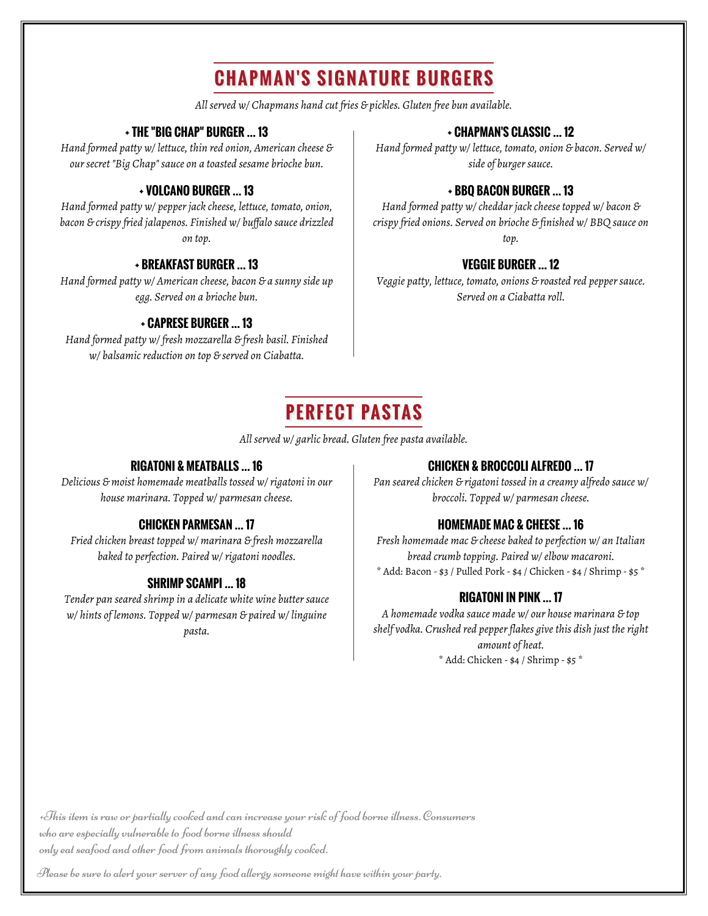## **CHAPMAN'S SIGNATURE BURGERS**

*All served w/ Chapmans hand cut fries & pickles. Gluten free bun available.*

#### **+ THE "BIG CHAP" BURGER … 13**

*Hand formed patty w/ lettuce, thin red onion, American cheese & our secret "Big Chap" sauce on a toasted sesame brioche bun.*

### **+ VOLCANO BURGER … 13**

*Hand formed patty w/ pepper jack cheese, lettuce, tomato, onion, bacon & crispy fried jalapenos. Finished w/ buffalo sauce drizzled on top.*

#### **+ BREAKFAST BURGER … 13**

*Hand formed patty w/ American cheese, bacon & a sunny side up egg. Served on a brioche bun.*

#### **+ CAPRESE BURGER … 13**

*Hand formed patty w/ fresh mozzarella & fresh basil. Finished w/ balsamic reduction on top & served on Ciabatta.*

#### **+ CHAPMAN'S CLASSIC … 12**

*Hand formed patty w/ lettuce, tomato, onion & bacon. Served w/ side of burger sauce.*

#### **+ BBQ BACON BURGER … 13**

*Hand formed patty w/ cheddar jack cheese topped w/ bacon & crispy fried onions. Served on brioche & finished w/ BBQ sauce on top.*

#### **VEGGIE BURGER … 12**

*Veggie patty, lettuce, tomato, onions & roasted red pepper sauce. Served on a Ciabatta roll.*

## **PERFECT PASTAS**

*All served w/ garlic bread. Gluten free pasta available.*

### **RIGATONI & MEATBALLS … 16**

*Delicious & moist homemade meatballs tossed w/ rigatoni in our house marinara. Topped w/ parmesan cheese.*

### **CHICKEN PARMESAN … 17**

*Fried chicken breast topped w/ marinara & fresh mozzarella baked to perfection. Paired w/ rigatoni noodles.*

### **SHRIMP SCAMPI … 18**

*Tender pan seared shrimp in a delicate white wine butter sauce w/ hints of lemons. Topped w/ parmesan & paired w/ linguine pasta.*

#### **CHICKEN & BROCCOLI ALFREDO … 17**

*Pan seared chicken & rigatoni tossed in a creamy alfredo sauce w/ broccoli. Topped w/ parmesan cheese.*

### **HOMEMADE MAC & CHEESE … 16**

*Fresh homemade mac & cheese baked to perfection w/ an Italian bread crumb topping. Paired w/ elbow macaroni.* \* Add: Bacon - \$3 / Pulled Pork - \$4 / Chicken - \$4 / Shrimp - \$5 \*

### **RIGATONI IN PINK … 17**

*A homemade vodka sauce made w/ our house marinara & top shelf vodka. Crushed red pepper flakes give this dish just the right amount of heat.* \* Add: Chicken - \$4 / Shrimp - \$5 \*

+This item is raw or partially cooked and can increase your risk of food borne illness. Consumers who are especially vulnerable to food borne illness should only eat seafood and other food from animals thoroughly cooked.

Please be sure to alert your server of any food allergy someone might have within your party.